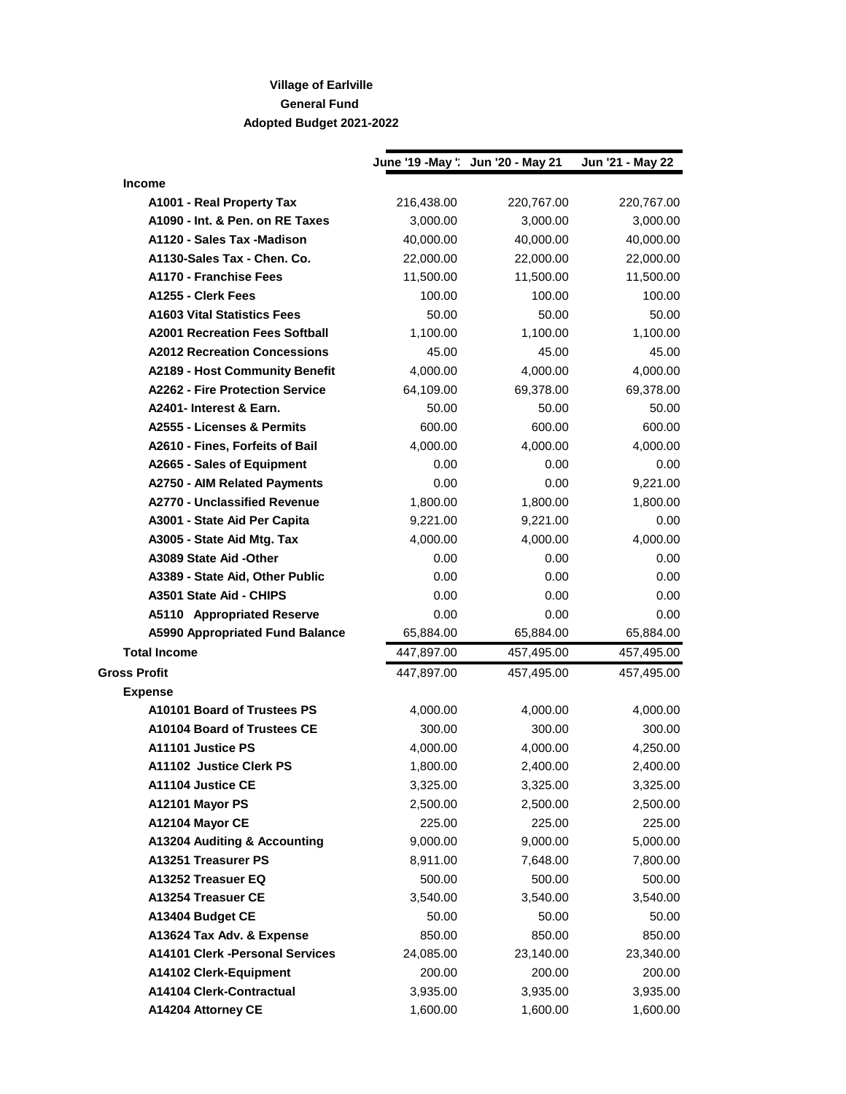## **Village of Earlville General Fund Adopted Budget 2021-2022**

|                                         |            | June '19 - May ': Jun '20 - May 21 | Jun '21 - May 22 |
|-----------------------------------------|------------|------------------------------------|------------------|
| Income                                  |            |                                    |                  |
| A1001 - Real Property Tax               | 216,438.00 | 220,767.00                         | 220,767.00       |
| A1090 - Int. & Pen. on RE Taxes         | 3,000.00   | 3,000.00                           | 3,000.00         |
| A1120 - Sales Tax - Madison             | 40,000.00  | 40,000.00                          | 40,000.00        |
| A1130-Sales Tax - Chen. Co.             | 22,000.00  | 22,000.00                          | 22,000.00        |
| A1170 - Franchise Fees                  | 11,500.00  | 11,500.00                          | 11,500.00        |
| A1255 - Clerk Fees                      | 100.00     | 100.00                             | 100.00           |
| <b>A1603 Vital Statistics Fees</b>      | 50.00      | 50.00                              | 50.00            |
| <b>A2001 Recreation Fees Softball</b>   | 1,100.00   | 1,100.00                           | 1,100.00         |
| <b>A2012 Recreation Concessions</b>     | 45.00      | 45.00                              | 45.00            |
| A2189 - Host Community Benefit          | 4,000.00   | 4,000.00                           | 4,000.00         |
| <b>A2262 - Fire Protection Service</b>  | 64,109.00  | 69,378.00                          | 69,378.00        |
| A2401- Interest & Earn.                 | 50.00      | 50.00                              | 50.00            |
| A2555 - Licenses & Permits              | 600.00     | 600.00                             | 600.00           |
| A2610 - Fines, Forfeits of Bail         | 4,000.00   | 4,000.00                           | 4,000.00         |
| A2665 - Sales of Equipment              | 0.00       | 0.00                               | 0.00             |
| A2750 - AIM Related Payments            | 0.00       | 0.00                               | 9,221.00         |
| A2770 - Unclassified Revenue            | 1,800.00   | 1,800.00                           | 1,800.00         |
| A3001 - State Aid Per Capita            | 9,221.00   | 9,221.00                           | 0.00             |
| A3005 - State Aid Mtg. Tax              | 4,000.00   | 4,000.00                           | 4,000.00         |
| A3089 State Aid -Other                  | 0.00       | 0.00                               | 0.00             |
| A3389 - State Aid, Other Public         | 0.00       | 0.00                               | 0.00             |
| A3501 State Aid - CHIPS                 | 0.00       | 0.00                               | 0.00             |
| <b>A5110 Appropriated Reserve</b>       | 0.00       | 0.00                               | 0.00             |
| <b>A5990 Appropriated Fund Balance</b>  | 65,884.00  | 65,884.00                          | 65,884.00        |
| <b>Total Income</b>                     | 447,897.00 | 457,495.00                         | 457,495.00       |
| <b>Gross Profit</b>                     | 447,897.00 | 457,495.00                         | 457,495.00       |
| <b>Expense</b>                          |            |                                    |                  |
| A10101 Board of Trustees PS             | 4,000.00   | 4,000.00                           | 4,000.00         |
| A10104 Board of Trustees CE             | 300.00     | 300.00                             | 300.00           |
| A11101 Justice PS                       | 4,000.00   | 4,000.00                           | 4,250.00         |
| A11102 Justice Clerk PS                 | 1,800.00   | 2,400.00                           | 2,400.00         |
| A11104 Justice CE                       | 3,325.00   | 3,325.00                           | 3,325.00         |
| A12101 Mayor PS                         | 2,500.00   | 2,500.00                           | 2,500.00         |
| A12104 Mayor CE                         | 225.00     | 225.00                             | 225.00           |
| A13204 Auditing & Accounting            | 9,000.00   | 9,000.00                           | 5,000.00         |
| A13251 Treasurer PS                     | 8,911.00   | 7,648.00                           | 7,800.00         |
| A13252 Treasuer EQ                      | 500.00     | 500.00                             | 500.00           |
| A13254 Treasuer CE                      | 3,540.00   | 3,540.00                           | 3,540.00         |
| A13404 Budget CE                        | 50.00      | 50.00                              | 50.00            |
| A13624 Tax Adv. & Expense               | 850.00     | 850.00                             | 850.00           |
| <b>A14101 Clerk - Personal Services</b> | 24,085.00  | 23,140.00                          | 23,340.00        |
| A14102 Clerk-Equipment                  | 200.00     | 200.00                             | 200.00           |
| A14104 Clerk-Contractual                | 3,935.00   | 3,935.00                           | 3,935.00         |
| A14204 Attorney CE                      | 1,600.00   | 1,600.00                           | 1,600.00         |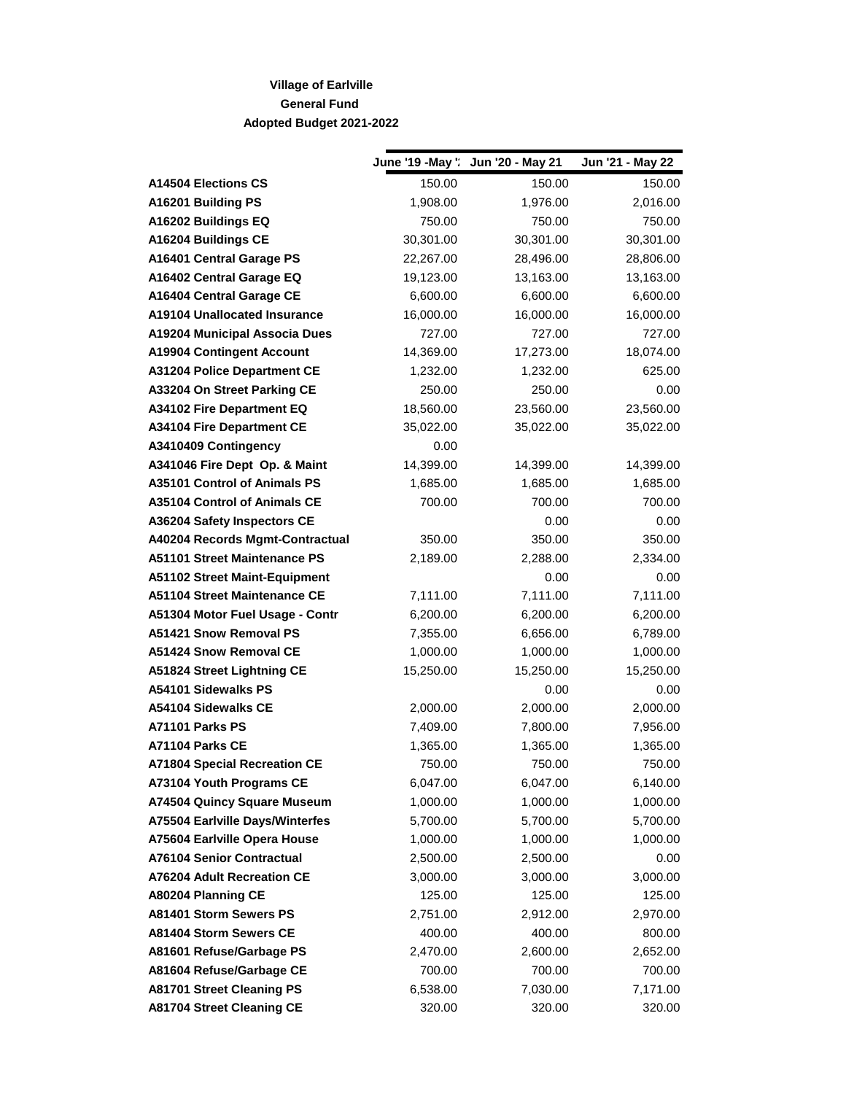## **Village of Earlville General Fund Adopted Budget 2021-2022**

|                                        | June '19 - May ' | Jun '20 - May 21 | Jun '21 - May 22 |
|----------------------------------------|------------------|------------------|------------------|
| <b>A14504 Elections CS</b>             | 150.00           | 150.00           | 150.00           |
| A16201 Building PS                     | 1,908.00         | 1,976.00         | 2,016.00         |
| A16202 Buildings EQ                    | 750.00           | 750.00           | 750.00           |
| A16204 Buildings CE                    | 30,301.00        | 30,301.00        | 30,301.00        |
| A16401 Central Garage PS               | 22,267.00        | 28,496.00        | 28,806.00        |
| A16402 Central Garage EQ               | 19,123.00        | 13,163.00        | 13,163.00        |
| A16404 Central Garage CE               | 6,600.00         | 6,600.00         | 6,600.00         |
| <b>A19104 Unallocated Insurance</b>    | 16,000.00        | 16,000.00        | 16,000.00        |
| <b>A19204 Municipal Associa Dues</b>   | 727.00           | 727.00           | 727.00           |
| <b>A19904 Contingent Account</b>       | 14,369.00        | 17,273.00        | 18,074.00        |
| <b>A31204 Police Department CE</b>     | 1,232.00         | 1,232.00         | 625.00           |
| A33204 On Street Parking CE            | 250.00           | 250.00           | 0.00             |
| <b>A34102 Fire Department EQ</b>       | 18,560.00        | 23,560.00        | 23,560.00        |
| <b>A34104 Fire Department CE</b>       | 35,022.00        | 35,022.00        | 35,022.00        |
| A3410409 Contingency                   | 0.00             |                  |                  |
| A341046 Fire Dept Op. & Maint          | 14,399.00        | 14,399.00        | 14,399.00        |
| A35101 Control of Animals PS           | 1,685.00         | 1,685.00         | 1,685.00         |
| <b>A35104 Control of Animals CE</b>    | 700.00           | 700.00           | 700.00           |
| A36204 Safety Inspectors CE            |                  | 0.00             | 0.00             |
| A40204 Records Mgmt-Contractual        | 350.00           | 350.00           | 350.00           |
| A51101 Street Maintenance PS           | 2,189.00         | 2,288.00         | 2,334.00         |
| <b>A51102 Street Maint-Equipment</b>   |                  | 0.00             | 0.00             |
| A51104 Street Maintenance CE           | 7,111.00         | 7,111.00         | 7,111.00         |
| A51304 Motor Fuel Usage - Contr        | 6,200.00         | 6,200.00         | 6,200.00         |
| A51421 Snow Removal PS                 | 7,355.00         | 6,656.00         | 6,789.00         |
| A51424 Snow Removal CE                 | 1,000.00         | 1,000.00         | 1,000.00         |
| A51824 Street Lightning CE             | 15,250.00        | 15,250.00        | 15,250.00        |
| A54101 Sidewalks PS                    |                  | 0.00             | 0.00             |
| A54104 Sidewalks CE                    | 2,000.00         | 2,000.00         | 2,000.00         |
| A71101 Parks PS                        | 7,409.00         | 7,800.00         | 7,956.00         |
| A71104 Parks CE                        | 1,365.00         | 1,365.00         | 1,365.00         |
| <b>A71804 Special Recreation CE</b>    | 750.00           | 750.00           | 750.00           |
| A73104 Youth Programs CE               | 6,047.00         | 6,047.00         | 6,140.00         |
| A74504 Quincy Square Museum            | 1,000.00         | 1,000.00         | 1,000.00         |
| <b>A75504 Earlville Days/Winterfes</b> | 5,700.00         | 5,700.00         | 5,700.00         |
| A75604 Earlville Opera House           | 1,000.00         | 1,000.00         | 1,000.00         |
| <b>A76104 Senior Contractual</b>       | 2,500.00         | 2,500.00         | 0.00             |
| A76204 Adult Recreation CE             | 3,000.00         | 3,000.00         | 3,000.00         |
| A80204 Planning CE                     | 125.00           | 125.00           | 125.00           |
| A81401 Storm Sewers PS                 | 2,751.00         | 2,912.00         | 2,970.00         |
| A81404 Storm Sewers CE                 | 400.00           | 400.00           | 800.00           |
| A81601 Refuse/Garbage PS               | 2,470.00         | 2,600.00         | 2,652.00         |
| A81604 Refuse/Garbage CE               | 700.00           | 700.00           | 700.00           |
| <b>A81701 Street Cleaning PS</b>       | 6,538.00         | 7,030.00         | 7,171.00         |
| <b>A81704 Street Cleaning CE</b>       | 320.00           | 320.00           | 320.00           |